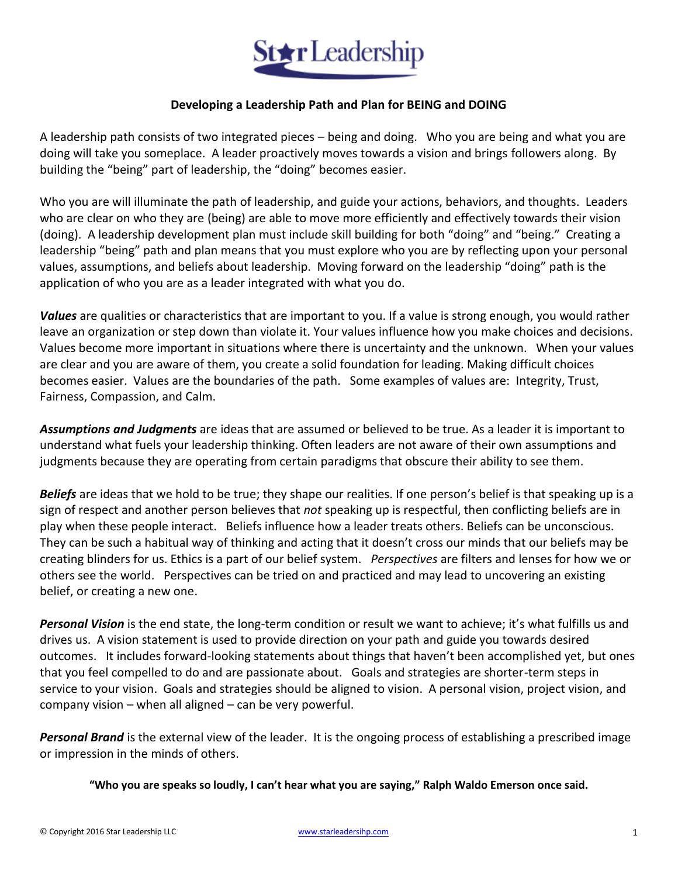

#### **Developing a Leadership Path and Plan for BEING and DOING**

A leadership path consists of two integrated pieces – being and doing. Who you are being and what you are doing will take you someplace. A leader proactively moves towards a vision and brings followers along. By building the "being" part of leadership, the "doing" becomes easier.

Who you are will illuminate the path of leadership, and guide your actions, behaviors, and thoughts. Leaders who are clear on who they are (being) are able to move more efficiently and effectively towards their vision (doing). A leadership development plan must include skill building for both "doing" and "being." Creating a leadership "being" path and plan means that you must explore who you are by reflecting upon your personal values, assumptions, and beliefs about leadership. Moving forward on the leadership "doing" path is the application of who you are as a leader integrated with what you do.

*Values* are qualities or characteristics that are important to you. If a value is strong enough, you would rather leave an organization or step down than violate it. Your values influence how you make choices and decisions. Values become more important in situations where there is uncertainty and the unknown. When your values are clear and you are aware of them, you create a solid foundation for leading. Making difficult choices becomes easier. Values are the boundaries of the path. Some examples of values are: Integrity, Trust, Fairness, Compassion, and Calm.

*Assumptions and Judgments* are ideas that are assumed or believed to be true. As a leader it is important to understand what fuels your leadership thinking. Often leaders are not aware of their own assumptions and judgments because they are operating from certain paradigms that obscure their ability to see them.

*Beliefs* are ideas that we hold to be true; they shape our realities. If one person's belief is that speaking up is a sign of respect and another person believes that *not* speaking up is respectful, then conflicting beliefs are in play when these people interact. Beliefs influence how a leader treats others. Beliefs can be unconscious. They can be such a habitual way of thinking and acting that it doesn't cross our minds that our beliefs may be creating blinders for us. Ethics is a part of our belief system. *Perspectives* are filters and lenses for how we or others see the world. Perspectives can be tried on and practiced and may lead to uncovering an existing belief, or creating a new one.

*Personal Vision* is the end state, the long-term condition or result we want to achieve; it's what fulfills us and drives us. A vision statement is used to provide direction on your path and guide you towards desired outcomes. It includes forward-looking statements about things that haven't been accomplished yet, but ones that you feel compelled to do and are passionate about. Goals and strategies are shorter-term steps in service to your vision. Goals and strategies should be aligned to vision. A personal vision, project vision, and company vision – when all aligned – can be very powerful.

*Personal Brand* is the external view of the leader. It is the ongoing process of establishing a prescribed image or impression in the minds of others.

**"Who you are speaks so loudly, I can't hear what you are saying," Ralph Waldo Emerson once said.**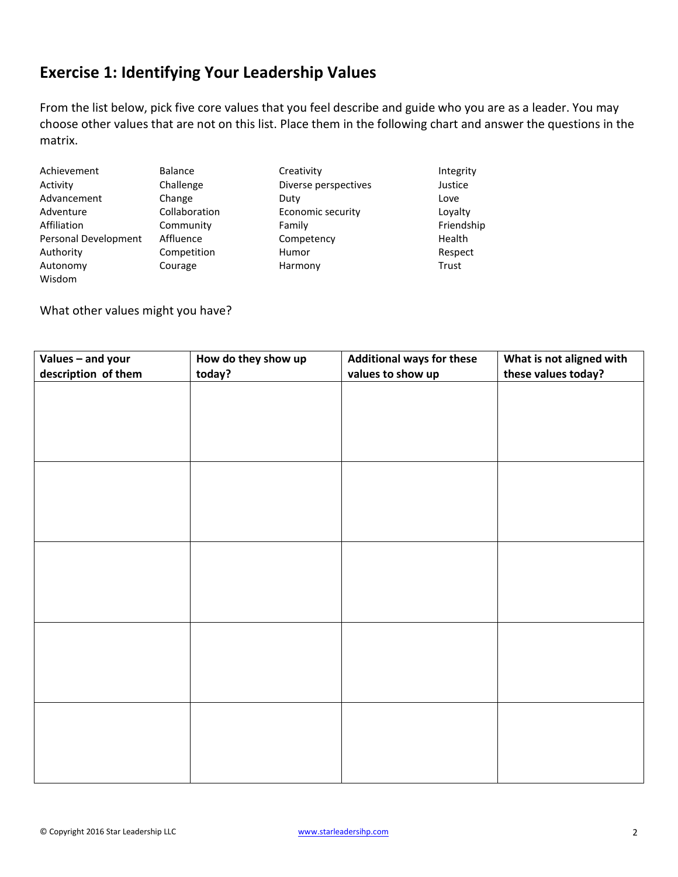## **Exercise 1: Identifying Your Leadership Values**

From the list below, pick five core values that you feel describe and guide who you are as a leader. You may choose other values that are not on this list. Place them in the following chart and answer the questions in the matrix.

Achievement Balance Creativity Creativity Integrity Activity Challenge Diverse perspectives Justice Advancement Change Duty Change Duty Adventure Collaboration Economic security Loyalty Affiliation Community Family Family Friendship Personal Development Affluence Competency Competency Health Authority Competition Humor Humor<br>
Autonomy Courage Harmony Harmony Trust Autonomy Courage Harmony Trust Wisdom

What other values might you have?

| Values - and your   | How do they show up | <b>Additional ways for these</b> | What is not aligned with |
|---------------------|---------------------|----------------------------------|--------------------------|
| description of them | today?              | values to show up                | these values today?      |
|                     |                     |                                  |                          |
|                     |                     |                                  |                          |
|                     |                     |                                  |                          |
|                     |                     |                                  |                          |
|                     |                     |                                  |                          |
|                     |                     |                                  |                          |
|                     |                     |                                  |                          |
|                     |                     |                                  |                          |
|                     |                     |                                  |                          |
|                     |                     |                                  |                          |
|                     |                     |                                  |                          |
|                     |                     |                                  |                          |
|                     |                     |                                  |                          |
|                     |                     |                                  |                          |
|                     |                     |                                  |                          |
|                     |                     |                                  |                          |
|                     |                     |                                  |                          |
|                     |                     |                                  |                          |
|                     |                     |                                  |                          |
|                     |                     |                                  |                          |
|                     |                     |                                  |                          |
|                     |                     |                                  |                          |
|                     |                     |                                  |                          |
|                     |                     |                                  |                          |
|                     |                     |                                  |                          |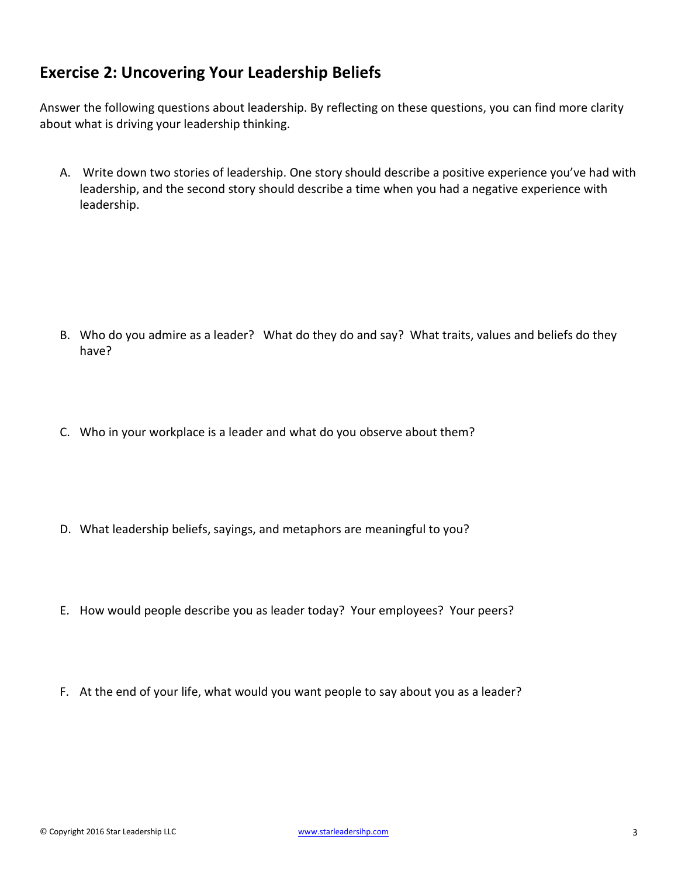### **Exercise 2: Uncovering Your Leadership Beliefs**

Answer the following questions about leadership. By reflecting on these questions, you can find more clarity about what is driving your leadership thinking.

A. Write down two stories of leadership. One story should describe a positive experience you've had with leadership, and the second story should describe a time when you had a negative experience with leadership.

- B. Who do you admire as a leader? What do they do and say? What traits, values and beliefs do they have?
- C. Who in your workplace is a leader and what do you observe about them?
- D. What leadership beliefs, sayings, and metaphors are meaningful to you?
- E. How would people describe you as leader today? Your employees? Your peers?
- F. At the end of your life, what would you want people to say about you as a leader?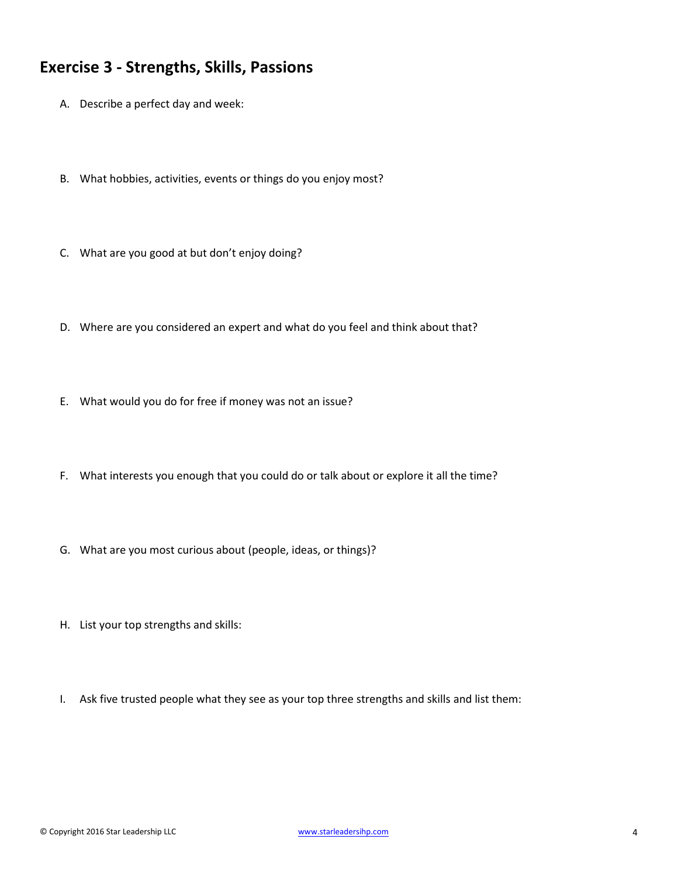#### **Exercise 3 - Strengths, Skills, Passions**

- A. Describe a perfect day and week:
- B. What hobbies, activities, events or things do you enjoy most?
- C. What are you good at but don't enjoy doing?
- D. Where are you considered an expert and what do you feel and think about that?
- E. What would you do for free if money was not an issue?
- F. What interests you enough that you could do or talk about or explore it all the time?
- G. What are you most curious about (people, ideas, or things)?
- H. List your top strengths and skills:
- I. Ask five trusted people what they see as your top three strengths and skills and list them: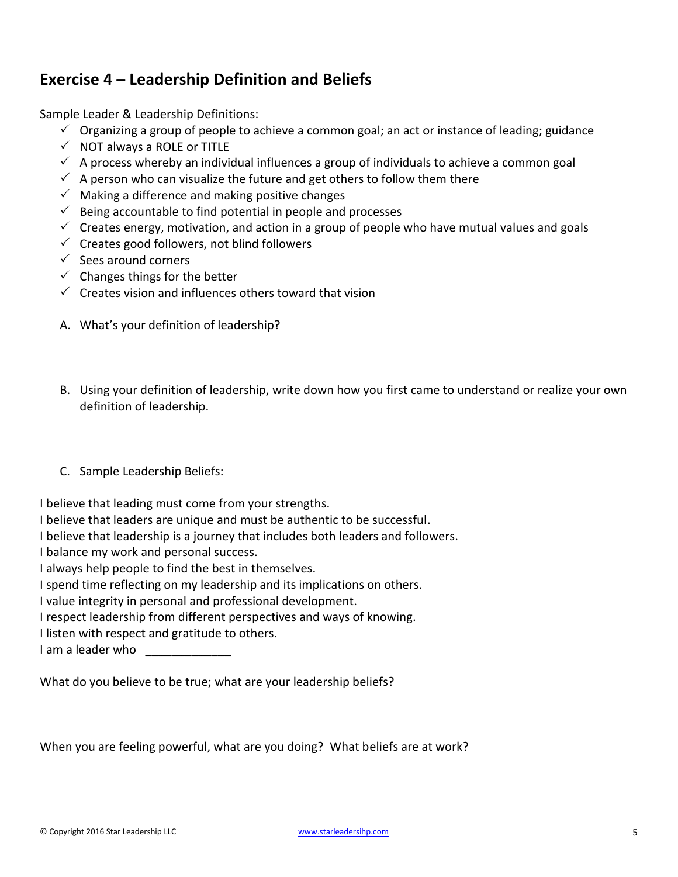## **Exercise 4 – Leadership Definition and Beliefs**

Sample Leader & Leadership Definitions:

- $\checkmark$  Organizing a group of people to achieve a common goal; an act or instance of leading; guidance
- $\checkmark$  NOT always a ROLE or TITLE
- $\checkmark$  A process whereby an individual influences a group of individuals to achieve a common goal
- $\checkmark$  A person who can visualize the future and get others to follow them there
- $\checkmark$  Making a difference and making positive changes
- $\checkmark$  Being accountable to find potential in people and processes
- $\checkmark$  Creates energy, motivation, and action in a group of people who have mutual values and goals
- $\checkmark$  Creates good followers, not blind followers
- $\checkmark$  Sees around corners
- $\checkmark$  Changes things for the better
- $\checkmark$  Creates vision and influences others toward that vision
- A. What's your definition of leadership?
- B. Using your definition of leadership, write down how you first came to understand or realize your own definition of leadership.
- C. Sample Leadership Beliefs:

I believe that leading must come from your strengths.

I believe that leaders are unique and must be authentic to be successful.

I believe that leadership is a journey that includes both leaders and followers.

I balance my work and personal success.

I always help people to find the best in themselves.

I spend time reflecting on my leadership and its implications on others.

I value integrity in personal and professional development.

I respect leadership from different perspectives and ways of knowing.

I listen with respect and gratitude to others.

I am a leader who \_\_\_\_\_\_\_\_\_\_\_\_\_

What do you believe to be true; what are your leadership beliefs?

When you are feeling powerful, what are you doing? What beliefs are at work?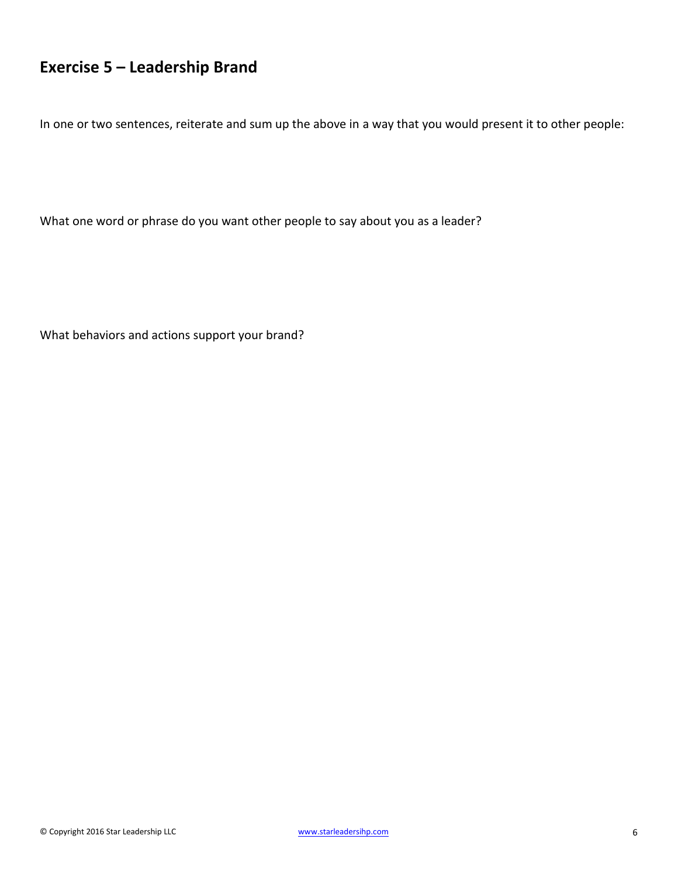# **Exercise 5 – Leadership Brand**

In one or two sentences, reiterate and sum up the above in a way that you would present it to other people:

What one word or phrase do you want other people to say about you as a leader?

What behaviors and actions support your brand?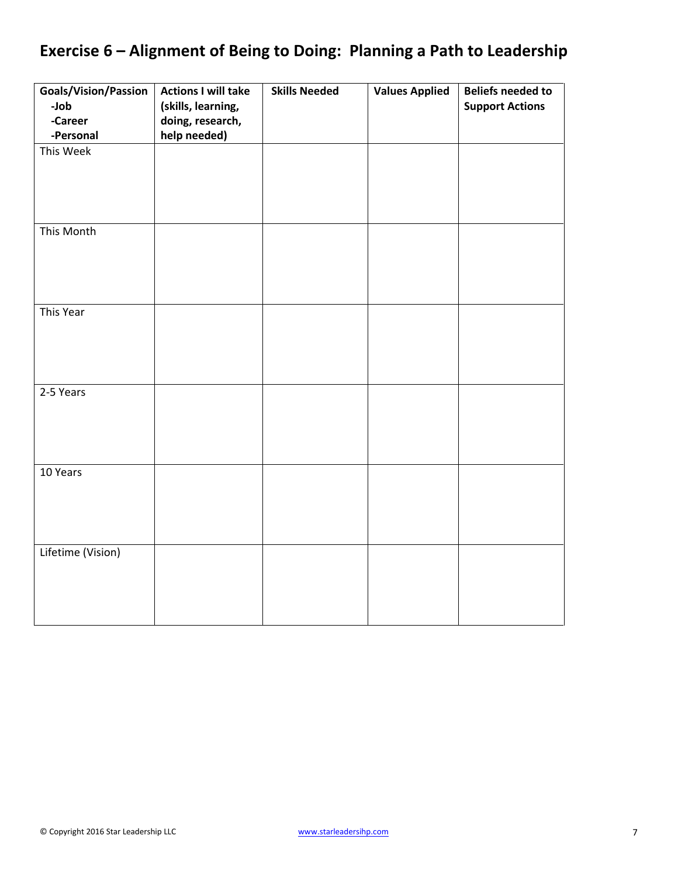# **Exercise 6 – Alignment of Being to Doing: Planning a Path to Leadership**

| Goals/Vision/Passion | <b>Actions I will take</b> | <b>Skills Needed</b> | <b>Values Applied</b> | <b>Beliefs needed to</b> |
|----------------------|----------------------------|----------------------|-----------------------|--------------------------|
| -Job                 | (skills, learning,         |                      |                       | <b>Support Actions</b>   |
| -Career              | doing, research,           |                      |                       |                          |
| -Personal            | help needed)               |                      |                       |                          |
| This Week            |                            |                      |                       |                          |
|                      |                            |                      |                       |                          |
|                      |                            |                      |                       |                          |
|                      |                            |                      |                       |                          |
|                      |                            |                      |                       |                          |
| This Month           |                            |                      |                       |                          |
|                      |                            |                      |                       |                          |
|                      |                            |                      |                       |                          |
|                      |                            |                      |                       |                          |
|                      |                            |                      |                       |                          |
| This Year            |                            |                      |                       |                          |
|                      |                            |                      |                       |                          |
|                      |                            |                      |                       |                          |
|                      |                            |                      |                       |                          |
|                      |                            |                      |                       |                          |
| 2-5 Years            |                            |                      |                       |                          |
|                      |                            |                      |                       |                          |
|                      |                            |                      |                       |                          |
|                      |                            |                      |                       |                          |
|                      |                            |                      |                       |                          |
| 10 Years             |                            |                      |                       |                          |
|                      |                            |                      |                       |                          |
|                      |                            |                      |                       |                          |
|                      |                            |                      |                       |                          |
|                      |                            |                      |                       |                          |
| Lifetime (Vision)    |                            |                      |                       |                          |
|                      |                            |                      |                       |                          |
|                      |                            |                      |                       |                          |
|                      |                            |                      |                       |                          |
|                      |                            |                      |                       |                          |